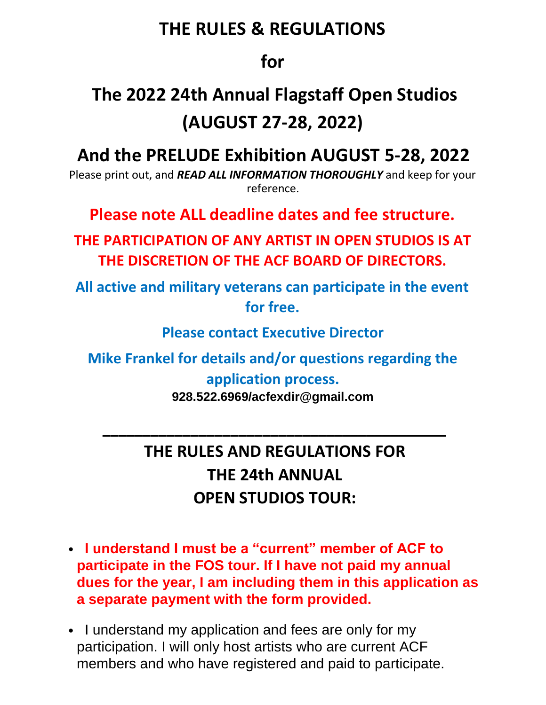### **THE RULES & REGULATIONS**

#### **for**

## **The 2022 24th Annual Flagstaff Open Studios (AUGUST 27-28, 2022)**

### **And the PRELUDE Exhibition AUGUST 5-28, 2022**

Please print out, and *READ ALL INFORMATION THOROUGHLY* and keep for your reference.

**Please note ALL deadline dates and fee structure.** 

**THE PARTICIPATION OF ANY ARTIST IN OPEN STUDIOS IS AT THE DISCRETION OF THE ACF BOARD OF DIRECTORS.** 

**All active and military veterans can participate in the event for free.** 

**Please contact Executive Director** 

**Mike Frankel for details and/or questions regarding the** 

#### **application process.**

**928.522.6969/acfexdir@gmail.com**

**\_\_\_\_\_\_\_\_\_\_\_\_\_\_\_\_\_\_\_\_\_\_\_\_\_\_\_\_\_\_\_\_\_\_\_\_\_\_\_\_\_\_\_** 

### **THE RULES AND REGULATIONS FOR THE 24th ANNUAL OPEN STUDIOS TOUR:**

- • **I understand I must be a "current" member of ACF to participate in the FOS tour. If I have not paid my annual dues for the year, I am including them in this application as a separate payment with the form provided.**
- I understand my application and fees are only for my participation. I will only host artists who are current ACF members and who have registered and paid to participate.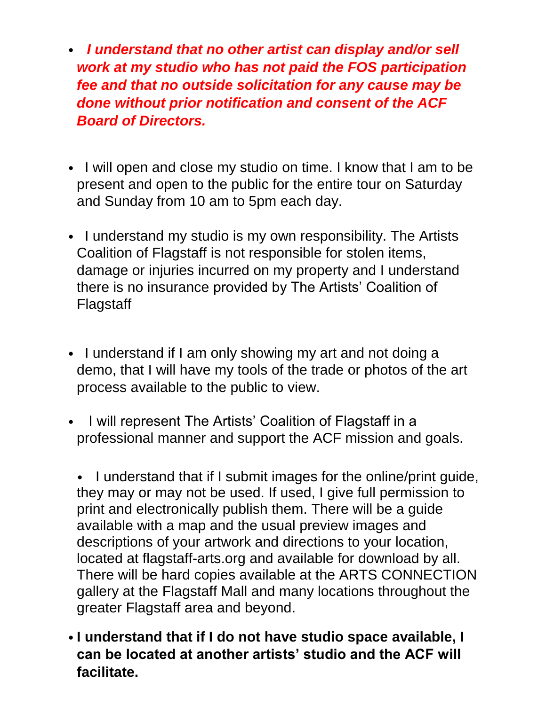- *I understand that no other artist can display and/or sell work at my studio who has not paid the FOS participation fee and that no outside solicitation for any cause may be done without prior notification and consent of the ACF Board of Directors.*
- I will open and close my studio on time. I know that I am to be present and open to the public for the entire tour on Saturday and Sunday from 10 am to 5pm each day.
- I understand my studio is my own responsibility. The Artists Coalition of Flagstaff is not responsible for stolen items, damage or injuries incurred on my property and I understand there is no insurance provided by The Artists' Coalition of Flagstaff
- I understand if I am only showing my art and not doing a demo, that I will have my tools of the trade or photos of the art process available to the public to view.
- I will represent The Artists' Coalition of Flagstaff in a professional manner and support the ACF mission and goals.

• I understand that if I submit images for the online/print guide, they may or may not be used. If used, I give full permission to print and electronically publish them. There will be a guide available with a map and the usual preview images and descriptions of your artwork and directions to your location, located at flagstaff-arts.org and available for download by all. There will be hard copies available at the ARTS CONNECTION gallery at the Flagstaff Mall and many locations throughout the greater Flagstaff area and beyond.

• **I understand that if I do not have studio space available, I can be located at another artists' studio and the ACF will facilitate.**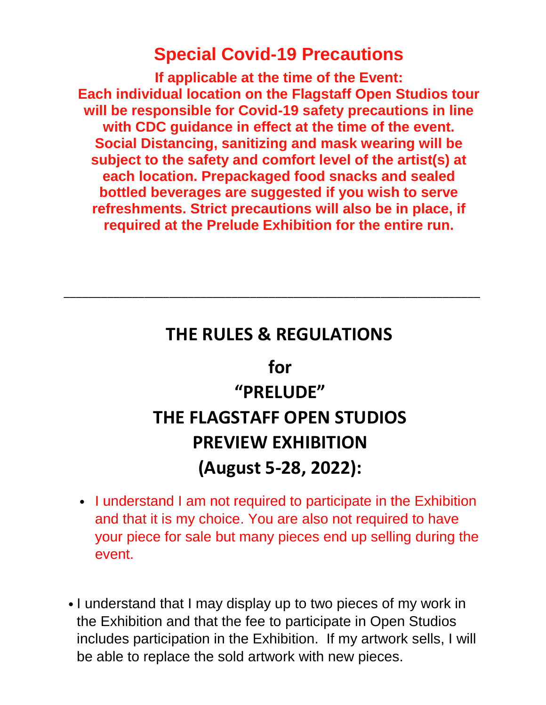### **Special Covid-19 Precautions**

**If applicable at the time of the Event: Each individual location on the Flagstaff Open Studios tour will be responsible for Covid-19 safety precautions in line with CDC guidance in effect at the time of the event. Social Distancing, sanitizing and mask wearing will be subject to the safety and comfort level of the artist(s) at each location. Prepackaged food snacks and sealed bottled beverages are suggested if you wish to serve refreshments. Strict precautions will also be in place, if required at the Prelude Exhibition for the entire run.**

### **THE RULES & REGULATIONS**

\_\_\_\_\_\_\_\_\_\_\_\_\_\_\_\_\_\_\_\_\_\_\_\_\_\_\_\_\_\_\_\_\_\_\_\_\_\_\_\_\_\_\_\_\_\_\_\_\_\_\_\_\_\_\_\_\_\_\_\_\_\_\_\_\_\_\_

**for**

# **"PRELUDE" THE FLAGSTAFF OPEN STUDIOS PREVIEW EXHIBITION (August 5-28, 2022):**

- I understand I am not required to participate in the Exhibition and that it is my choice. You are also not required to have your piece for sale but many pieces end up selling during the event.
- I understand that I may display up to two pieces of my work in the Exhibition and that the fee to participate in Open Studios includes participation in the Exhibition. If my artwork sells, I will be able to replace the sold artwork with new pieces.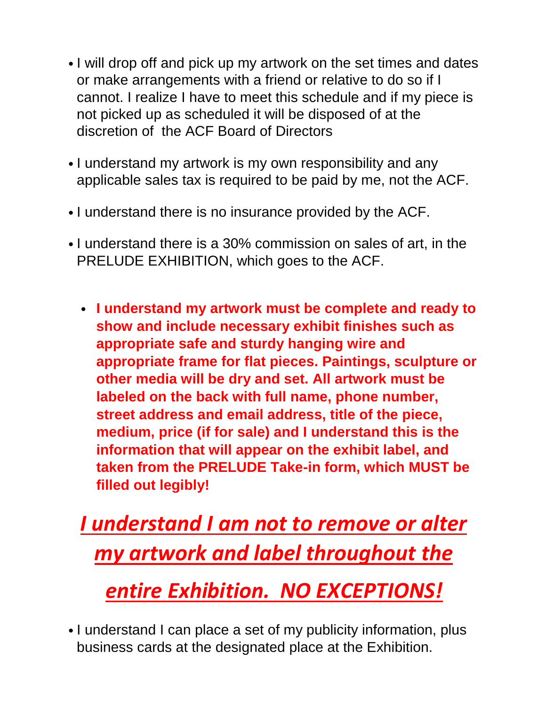- I will drop off and pick up my artwork on the set times and dates or make arrangements with a friend or relative to do so if I cannot. I realize I have to meet this schedule and if my piece is not picked up as scheduled it will be disposed of at the discretion of the ACF Board of Directors
- I understand my artwork is my own responsibility and any applicable sales tax is required to be paid by me, not the ACF.
- I understand there is no insurance provided by the ACF.
- I understand there is a 30% commission on sales of art, in the PRELUDE EXHIBITION, which goes to the ACF.
	- **I understand my artwork must be complete and ready to show and include necessary exhibit finishes such as appropriate safe and sturdy hanging wire and appropriate frame for flat pieces. Paintings, sculpture or other media will be dry and set. All artwork must be labeled on the back with full name, phone number, street address and email address, title of the piece, medium, price (if for sale) and I understand this is the information that will appear on the exhibit label, and taken from the PRELUDE Take-in form, which MUST be filled out legibly!**

*I understand I am not to remove or alter my artwork and label throughout the*

## *entire Exhibition. NO EXCEPTIONS!*

• I understand I can place a set of my publicity information, plus business cards at the designated place at the Exhibition.